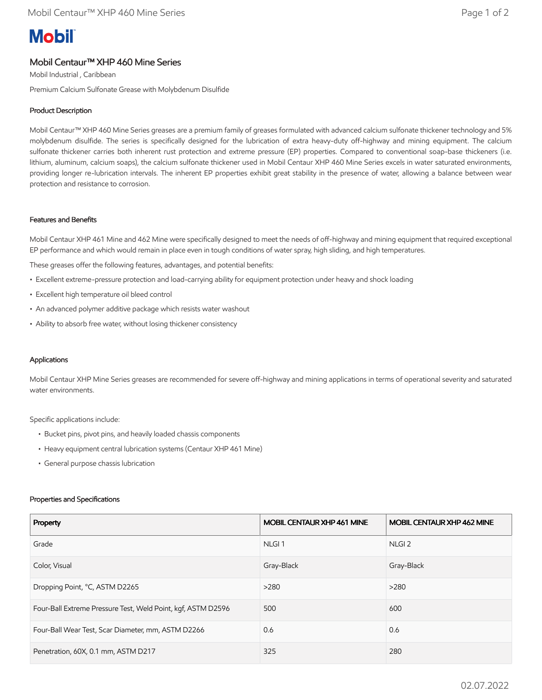# **Mobil**

# Mobil Centaur™ XHP 460 Mine Series

Mobil Industrial , Caribbean

Premium Calcium Sulfonate Grease with Molybdenum Disulfide

# Product Description

Mobil Centaur™ XHP 460 Mine Series greases are a premium family of greases formulated with advanced calcium sulfonate thickener technology and 5% molybdenum disulfide. The series is specifically designed for the lubrication of extra heavy-duty off-highway and mining equipment. The calcium sulfonate thickener carries both inherent rust protection and extreme pressure (EP) properties. Compared to conventional soap-base thickeners (i.e. lithium, aluminum, calcium soaps), the calcium sulfonate thickener used in Mobil Centaur XHP 460 Mine Series excels in water saturated environments, providing longer re-lubrication intervals. The inherent EP properties exhibit great stability in the presence of water, allowing a balance between wear protection and resistance to corrosion.

## Features and Benefits

Mobil Centaur XHP 461 Mine and 462 Mine were specifically designed to meet the needs of off-highway and mining equipment that required exceptional EP performance and which would remain in place even in tough conditions of water spray, high sliding, and high temperatures.

These greases offer the following features, advantages, and potential benefits:

- Excellent extreme-pressure protection and load-carrying ability for equipment protection under heavy and shock loading
- Excellent high temperature oil bleed control
- An advanced polymer additive package which resists water washout
- Ability to absorb free water, without losing thickener consistency

## Applications

Mobil Centaur XHP Mine Series greases are recommended for severe off-highway and mining applications in terms of operational severity and saturated water environments.

Specific applications include:

- Bucket pins, pivot pins, and heavily loaded chassis components
- Heavy equipment central lubrication systems (Centaur XHP 461 Mine)
- General purpose chassis lubrication

### Properties and Specifications

| Property                                                     | MOBIL CENTAUR XHP 461 MINE | <b>MOBIL CENTAUR XHP 462 MINE</b> |
|--------------------------------------------------------------|----------------------------|-----------------------------------|
| Grade                                                        | NLGI <sub>1</sub>          | NLGI <sub>2</sub>                 |
| Color, Visual                                                | Gray-Black                 | Gray-Black                        |
| Dropping Point, °C, ASTM D2265                               | >280                       | >280                              |
| Four-Ball Extreme Pressure Test, Weld Point, kgf, ASTM D2596 | 500                        | 600                               |
| Four-Ball Wear Test, Scar Diameter, mm, ASTM D2266           | 0.6                        | 0.6                               |
| Penetration, 60X, 0.1 mm, ASTM D217                          | 325                        | 280                               |